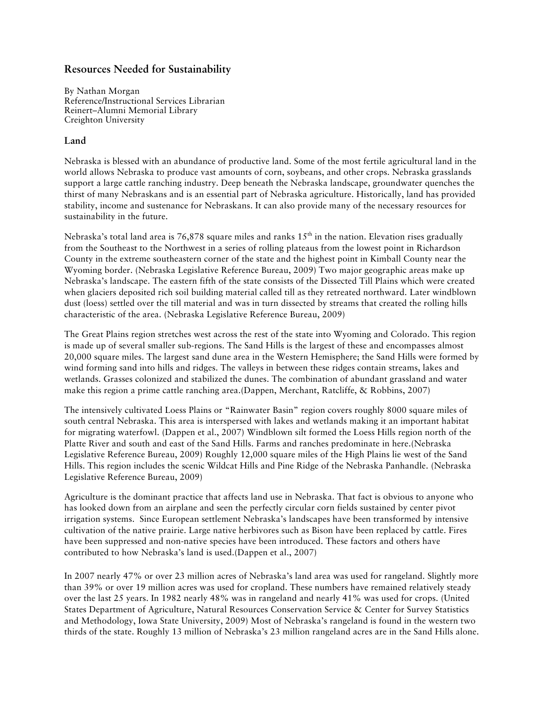# **Resources Needed for Sustainability**

By Nathan Morgan Reference/Instructional Services Librarian Reinert–Alumni Memorial Library Creighton University

## **Land**

Nebraska is blessed with an abundance of productive land. Some of the most fertile agricultural land in the world allows Nebraska to produce vast amounts of corn, soybeans, and other crops. Nebraska grasslands support a large cattle ranching industry. Deep beneath the Nebraska landscape, groundwater quenches the thirst of many Nebraskans and is an essential part of Nebraska agriculture. Historically, land has provided stability, income and sustenance for Nebraskans. It can also provide many of the necessary resources for sustainability in the future.

Nebraska's total land area is 76,878 square miles and ranks  $15<sup>th</sup>$  in the nation. Elevation rises gradually from the Southeast to the Northwest in a series of rolling plateaus from the lowest point in Richardson County in the extreme southeastern corner of the state and the highest point in Kimball County near the Wyoming border. (Nebraska Legislative Reference Bureau, 2009) Two major geographic areas make up Nebraska's landscape. The eastern fifth of the state consists of the Dissected Till Plains which were created when glaciers deposited rich soil building material called till as they retreated northward. Later windblown dust (loess) settled over the till material and was in turn dissected by streams that created the rolling hills characteristic of the area. (Nebraska Legislative Reference Bureau, 2009)

The Great Plains region stretches west across the rest of the state into Wyoming and Colorado. This region is made up of several smaller sub-regions. The Sand Hills is the largest of these and encompasses almost 20,000 square miles. The largest sand dune area in the Western Hemisphere; the Sand Hills were formed by wind forming sand into hills and ridges. The valleys in between these ridges contain streams, lakes and wetlands. Grasses colonized and stabilized the dunes. The combination of abundant grassland and water make this region a prime cattle ranching area.(Dappen, Merchant, Ratcliffe, & Robbins, 2007)

The intensively cultivated Loess Plains or "Rainwater Basin" region covers roughly 8000 square miles of south central Nebraska. This area is interspersed with lakes and wetlands making it an important habitat for migrating waterfowl. (Dappen et al., 2007) Windblown silt formed the Loess Hills region north of the Platte River and south and east of the Sand Hills. Farms and ranches predominate in here.(Nebraska Legislative Reference Bureau, 2009) Roughly 12,000 square miles of the High Plains lie west of the Sand Hills. This region includes the scenic Wildcat Hills and Pine Ridge of the Nebraska Panhandle. (Nebraska Legislative Reference Bureau, 2009)

Agriculture is the dominant practice that affects land use in Nebraska. That fact is obvious to anyone who has looked down from an airplane and seen the perfectly circular corn fields sustained by center pivot irrigation systems. Since European settlement Nebraska's landscapes have been transformed by intensive cultivation of the native prairie. Large native herbivores such as Bison have been replaced by cattle. Fires have been suppressed and non-native species have been introduced. These factors and others have contributed to how Nebraska's land is used.(Dappen et al., 2007)

In 2007 nearly 47% or over 23 million acres of Nebraska's land area was used for rangeland. Slightly more than 39% or over 19 million acres was used for cropland. These numbers have remained relatively steady over the last 25 years. In 1982 nearly 48% was in rangeland and nearly 41% was used for crops. (United States Department of Agriculture, Natural Resources Conservation Service & Center for Survey Statistics and Methodology, Iowa State University, 2009) Most of Nebraska's rangeland is found in the western two thirds of the state. Roughly 13 million of Nebraska's 23 million rangeland acres are in the Sand Hills alone.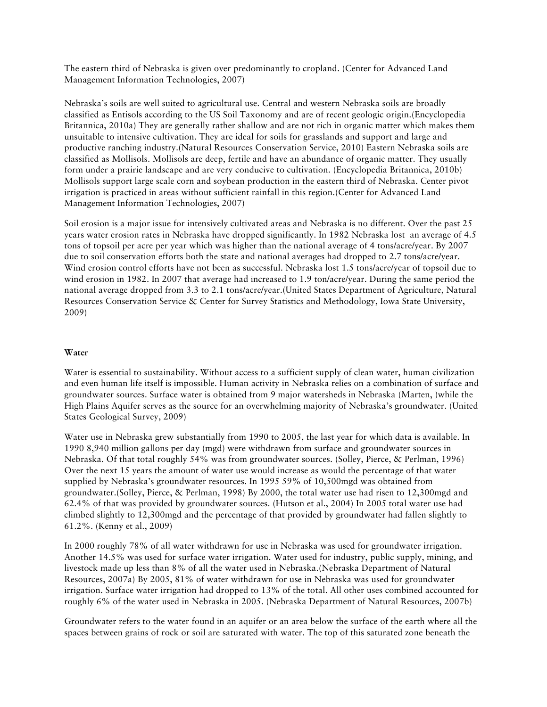The eastern third of Nebraska is given over predominantly to cropland. (Center for Advanced Land Management Information Technologies, 2007)

Nebraska's soils are well suited to agricultural use. Central and western Nebraska soils are broadly classified as Entisols according to the US Soil Taxonomy and are of recent geologic origin.(Encyclopedia Britannica, 2010a) They are generally rather shallow and are not rich in organic matter which makes them unsuitable to intensive cultivation. They are ideal for soils for grasslands and support and large and productive ranching industry.(Natural Resources Conservation Service, 2010) Eastern Nebraska soils are classified as Mollisols. Mollisols are deep, fertile and have an abundance of organic matter. They usually form under a prairie landscape and are very conducive to cultivation. (Encyclopedia Britannica, 2010b) Mollisols support large scale corn and soybean production in the eastern third of Nebraska. Center pivot irrigation is practiced in areas without sufficient rainfall in this region.(Center for Advanced Land Management Information Technologies, 2007)

Soil erosion is a major issue for intensively cultivated areas and Nebraska is no different. Over the past 25 years water erosion rates in Nebraska have dropped significantly. In 1982 Nebraska lost an average of 4.5 tons of topsoil per acre per year which was higher than the national average of 4 tons/acre/year. By 2007 due to soil conservation efforts both the state and national averages had dropped to 2.7 tons/acre/year. Wind erosion control efforts have not been as successful. Nebraska lost 1.5 tons/acre/year of topsoil due to wind erosion in 1982. In 2007 that average had increased to 1.9 ton/acre/year. During the same period the national average dropped from 3.3 to 2.1 tons/acre/year.(United States Department of Agriculture, Natural Resources Conservation Service & Center for Survey Statistics and Methodology, Iowa State University, 2009)

#### **Water**

Water is essential to sustainability. Without access to a sufficient supply of clean water, human civilization and even human life itself is impossible. Human activity in Nebraska relies on a combination of surface and groundwater sources. Surface water is obtained from 9 major watersheds in Nebraska (Marten, )while the High Plains Aquifer serves as the source for an overwhelming majority of Nebraska's groundwater. (United States Geological Survey, 2009)

Water use in Nebraska grew substantially from 1990 to 2005, the last year for which data is available. In 1990 8,940 million gallons per day (mgd) were withdrawn from surface and groundwater sources in Nebraska. Of that total roughly 54% was from groundwater sources. (Solley, Pierce, & Perlman, 1996) Over the next 15 years the amount of water use would increase as would the percentage of that water supplied by Nebraska's groundwater resources. In 1995 59% of 10,500mgd was obtained from groundwater.(Solley, Pierce, & Perlman, 1998) By 2000, the total water use had risen to 12,300mgd and 62.4% of that was provided by groundwater sources. (Hutson et al., 2004) In 2005 total water use had climbed slightly to 12,300mgd and the percentage of that provided by groundwater had fallen slightly to 61.2%. (Kenny et al., 2009)

In 2000 roughly 78% of all water withdrawn for use in Nebraska was used for groundwater irrigation. Another 14.5% was used for surface water irrigation. Water used for industry, public supply, mining, and livestock made up less than 8% of all the water used in Nebraska.(Nebraska Department of Natural Resources, 2007a) By 2005, 81% of water withdrawn for use in Nebraska was used for groundwater irrigation. Surface water irrigation had dropped to 13% of the total. All other uses combined accounted for roughly 6% of the water used in Nebraska in 2005. (Nebraska Department of Natural Resources, 2007b)

Groundwater refers to the water found in an aquifer or an area below the surface of the earth where all the spaces between grains of rock or soil are saturated with water. The top of this saturated zone beneath the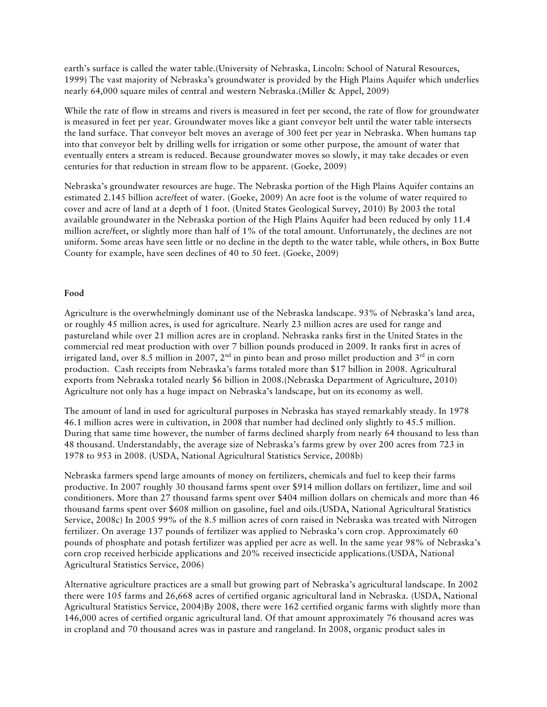earth's surface is called the water table.(University of Nebraska, Lincoln: School of Natural Resources, 1999) The vast majority of Nebraska's groundwater is provided by the High Plains Aquifer which underlies nearly 64,000 square miles of central and western Nebraska.(Miller & Appel, 2009)

While the rate of flow in streams and rivers is measured in feet per second, the rate of flow for groundwater is measured in feet per year. Groundwater moves like a giant conveyor belt until the water table intersects the land surface. That conveyor belt moves an average of 300 feet per year in Nebraska. When humans tap into that conveyor belt by drilling wells for irrigation or some other purpose, the amount of water that eventually enters a stream is reduced. Because groundwater moves so slowly, it may take decades or even centuries for that reduction in stream flow to be apparent. (Goeke, 2009)

Nebraska's groundwater resources are huge. The Nebraska portion of the High Plains Aquifer contains an estimated 2.145 billion acre/feet of water. (Goeke, 2009) An acre foot is the volume of water required to cover and acre of land at a depth of 1 foot. (United States Geological Survey, 2010) By 2003 the total available groundwater in the Nebraska portion of the High Plains Aquifer had been reduced by only 11.4 million acre/feet, or slightly more than half of 1% of the total amount. Unfortunately, the declines are not uniform. Some areas have seen little or no decline in the depth to the water table, while others, in Box Butte County for example, have seen declines of 40 to 50 feet. (Goeke, 2009)

#### **Food**

Agriculture is the overwhelmingly dominant use of the Nebraska landscape. 93% of Nebraska's land area, or roughly 45 million acres, is used for agriculture. Nearly 23 million acres are used for range and pastureland while over 21 million acres are in cropland. Nebraska ranks first in the United States in the commercial red meat production with over 7 billion pounds produced in 2009. It ranks first in acres of irrigated land, over 8.5 million in 2007,  $2<sup>nd</sup>$  in pinto bean and proso millet production and  $3<sup>rd</sup>$  in corn production. Cash receipts from Nebraska's farms totaled more than \$17 billion in 2008. Agricultural exports from Nebraska totaled nearly \$6 billion in 2008.(Nebraska Department of Agriculture, 2010) Agriculture not only has a huge impact on Nebraska's landscape, but on its economy as well.

The amount of land in used for agricultural purposes in Nebraska has stayed remarkably steady. In 1978 46.1 million acres were in cultivation, in 2008 that number had declined only slightly to 45.5 million. During that same time however, the number of farms declined sharply from nearly 64 thousand to less than 48 thousand. Understandably, the average size of Nebraska's farms grew by over 200 acres from 723 in 1978 to 953 in 2008. (USDA, National Agricultural Statistics Service, 2008b)

Nebraska farmers spend large amounts of money on fertilizers, chemicals and fuel to keep their farms productive. In 2007 roughly 30 thousand farms spent over \$914 million dollars on fertilizer, lime and soil conditioners. More than 27 thousand farms spent over \$404 million dollars on chemicals and more than 46 thousand farms spent over \$608 million on gasoline, fuel and oils.(USDA, National Agricultural Statistics Service, 2008c) In 2005 99% of the 8.5 million acres of corn raised in Nebraska was treated with Nitrogen fertilizer. On average 137 pounds of fertilizer was applied to Nebraska's corn crop. Approximately 60 pounds of phosphate and potash fertilizer was applied per acre as well. In the same year 98% of Nebraska's corn crop received herbicide applications and 20% received insecticide applications.(USDA, National Agricultural Statistics Service, 2006)

Alternative agriculture practices are a small but growing part of Nebraska's agricultural landscape. In 2002 there were 105 farms and 26,668 acres of certified organic agricultural land in Nebraska. (USDA, National Agricultural Statistics Service, 2004)By 2008, there were 162 certified organic farms with slightly more than 146,000 acres of certified organic agricultural land. Of that amount approximately 76 thousand acres was in cropland and 70 thousand acres was in pasture and rangeland. In 2008, organic product sales in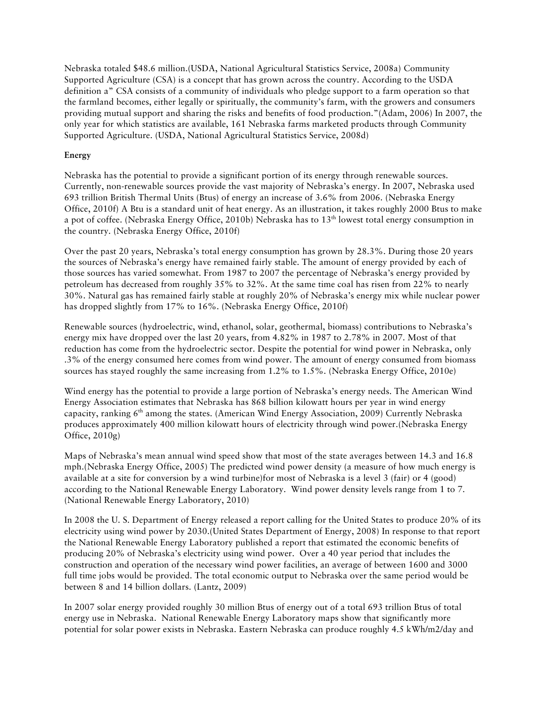Nebraska totaled \$48.6 million.(USDA, National Agricultural Statistics Service, 2008a) Community Supported Agriculture (CSA) is a concept that has grown across the country. According to the USDA definition a" CSA consists of a community of individuals who pledge support to a farm operation so that the farmland becomes, either legally or spiritually, the community's farm, with the growers and consumers providing mutual support and sharing the risks and benefits of food production."(Adam, 2006) In 2007, the only year for which statistics are available, 161 Nebraska farms marketed products through Community Supported Agriculture. (USDA, National Agricultural Statistics Service, 2008d)

### **Energy**

Nebraska has the potential to provide a significant portion of its energy through renewable sources. Currently, non-renewable sources provide the vast majority of Nebraska's energy. In 2007, Nebraska used 693 trillion British Thermal Units (Btus) of energy an increase of 3.6% from 2006. (Nebraska Energy Office, 2010f) A Btu is a standard unit of heat energy. As an illustration, it takes roughly 2000 Btus to make a pot of coffee. (Nebraska Energy Office, 2010b) Nebraska has to  $13<sup>th</sup>$  lowest total energy consumption in the country. (Nebraska Energy Office, 2010f)

Over the past 20 years, Nebraska's total energy consumption has grown by 28.3%. During those 20 years the sources of Nebraska's energy have remained fairly stable. The amount of energy provided by each of those sources has varied somewhat. From 1987 to 2007 the percentage of Nebraska's energy provided by petroleum has decreased from roughly 35% to 32%. At the same time coal has risen from 22% to nearly 30%. Natural gas has remained fairly stable at roughly 20% of Nebraska's energy mix while nuclear power has dropped slightly from 17% to 16%. (Nebraska Energy Office, 2010f)

Renewable sources (hydroelectric, wind, ethanol, solar, geothermal, biomass) contributions to Nebraska's energy mix have dropped over the last 20 years, from 4.82% in 1987 to 2.78% in 2007. Most of that reduction has come from the hydroelectric sector. Despite the potential for wind power in Nebraska, only .3% of the energy consumed here comes from wind power. The amount of energy consumed from biomass sources has stayed roughly the same increasing from 1.2% to 1.5%. (Nebraska Energy Office, 2010e)

Wind energy has the potential to provide a large portion of Nebraska's energy needs. The American Wind Energy Association estimates that Nebraska has 868 billion kilowatt hours per year in wind energy capacity, ranking  $6<sup>th</sup>$  among the states. (American Wind Energy Association, 2009) Currently Nebraska produces approximately 400 million kilowatt hours of electricity through wind power.(Nebraska Energy Office, 2010g)

Maps of Nebraska's mean annual wind speed show that most of the state averages between 14.3 and 16.8 mph.(Nebraska Energy Office, 2005) The predicted wind power density (a measure of how much energy is available at a site for conversion by a wind turbine)for most of Nebraska is a level 3 (fair) or 4 (good) according to the National Renewable Energy Laboratory. Wind power density levels range from 1 to 7. (National Renewable Energy Laboratory, 2010)

In 2008 the U. S. Department of Energy released a report calling for the United States to produce 20% of its electricity using wind power by 2030.(United States Department of Energy, 2008) In response to that report the National Renewable Energy Laboratory published a report that estimated the economic benefits of producing 20% of Nebraska's electricity using wind power. Over a 40 year period that includes the construction and operation of the necessary wind power facilities, an average of between 1600 and 3000 full time jobs would be provided. The total economic output to Nebraska over the same period would be between 8 and 14 billion dollars. (Lantz, 2009)

In 2007 solar energy provided roughly 30 million Btus of energy out of a total 693 trillion Btus of total energy use in Nebraska. National Renewable Energy Laboratory maps show that significantly more potential for solar power exists in Nebraska. Eastern Nebraska can produce roughly 4.5 kWh/m2/day and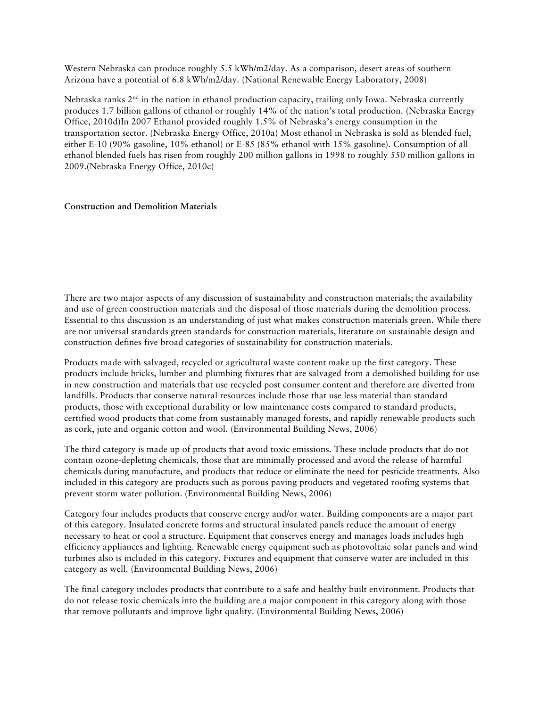Western Nebraska can produce roughly 5.5 kWh/m2/day. As a comparison, desert areas of southern Arizona have a potential of 6.8 kWh/m2/day. (National Renewable Energy Laboratory, 2008)

Nebraska ranks  $2<sup>nd</sup>$  in the nation in ethanol production capacity, trailing only Iowa. Nebraska currently produces 1.7 billion gallons of ethanol or roughly 14% of the nation's total production. (Nebraska Energy Office, 2010d)In 2007 Ethanol provided roughly 1.5% of Nebraska's energy consumption in the transportation sector. (Nebraska Energy Office, 2010a) Most ethanol in Nebraska is sold as blended fuel, either E-10 (90% gasoline, 10% ethanol) or E-85 (85% ethanol with 15% gasoline). Consumption of all ethanol blended fuels has risen from roughly 200 million gallons in 1998 to roughly 550 million gallons in 2009.(Nebraska Energy Office, 2010c)

### **Construction and Demolition Materials**

There are two major aspects of any discussion of sustainability and construction materials; the availability and use of green construction materials and the disposal of those materials during the demolition process. Essential to this discussion is an understanding of just what makes construction materials green. While there are not universal standards green standards for construction materials, literature on sustainable design and construction defines five broad categories of sustainability for construction materials.

Products made with salvaged, recycled or agricultural waste content make up the first category. These products include bricks, lumber and plumbing fixtures that are salvaged from a demolished building for use in new construction and materials that use recycled post consumer content and therefore are diverted from landfills. Products that conserve natural resources include those that use less material than standard products, those with exceptional durability or low maintenance costs compared to standard products, certified wood products that come from sustainably managed forests, and rapidly renewable products such as cork, jute and organic cotton and wool. (Environmental Building News, 2006)

The third category is made up of products that avoid toxic emissions. These include products that do not contain ozone-depleting chemicals, those that are minimally processed and avoid the release of harmful chemicals during manufacture, and products that reduce or eliminate the need for pesticide treatments. Also included in this category are products such as porous paving products and vegetated roofing systems that prevent storm water pollution. (Environmental Building News, 2006)

Category four includes products that conserve energy and/or water. Building components are a major part of this category. Insulated concrete forms and structural insulated panels reduce the amount of energy necessary to heat or cool a structure. Equipment that conserves energy and manages loads includes high efficiency appliances and lighting. Renewable energy equipment such as photovoltaic solar panels and wind turbines also is included in this category. Fixtures and equipment that conserve water are included in this category as well. (Environmental Building News, 2006)

The final category includes products that contribute to a safe and healthy built environment. Products that do not release toxic chemicals into the building are a major component in this category along with those that remove pollutants and improve light quality. (Environmental Building News, 2006)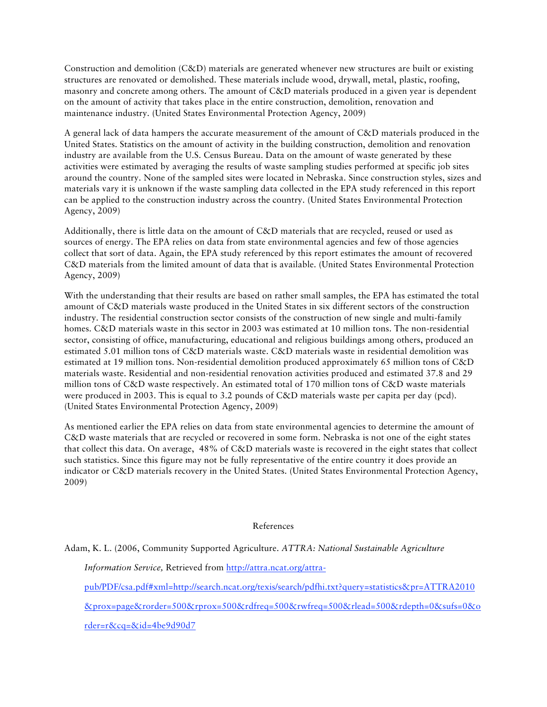Construction and demolition (C&D) materials are generated whenever new structures are built or existing structures are renovated or demolished. These materials include wood, drywall, metal, plastic, roofing, masonry and concrete among others. The amount of C&D materials produced in a given year is dependent on the amount of activity that takes place in the entire construction, demolition, renovation and maintenance industry. (United States Environmental Protection Agency, 2009)

A general lack of data hampers the accurate measurement of the amount of C&D materials produced in the United States. Statistics on the amount of activity in the building construction, demolition and renovation industry are available from the U.S. Census Bureau. Data on the amount of waste generated by these activities were estimated by averaging the results of waste sampling studies performed at specific job sites around the country. None of the sampled sites were located in Nebraska. Since construction styles, sizes and materials vary it is unknown if the waste sampling data collected in the EPA study referenced in this report can be applied to the construction industry across the country. (United States Environmental Protection Agency, 2009)

Additionally, there is little data on the amount of C&D materials that are recycled, reused or used as sources of energy. The EPA relies on data from state environmental agencies and few of those agencies collect that sort of data. Again, the EPA study referenced by this report estimates the amount of recovered C&D materials from the limited amount of data that is available. (United States Environmental Protection Agency, 2009)

With the understanding that their results are based on rather small samples, the EPA has estimated the total amount of C&D materials waste produced in the United States in six different sectors of the construction industry. The residential construction sector consists of the construction of new single and multi-family homes. C&D materials waste in this sector in 2003 was estimated at 10 million tons. The non-residential sector, consisting of office, manufacturing, educational and religious buildings among others, produced an estimated 5.01 million tons of C&D materials waste. C&D materials waste in residential demolition was estimated at 19 million tons. Non-residential demolition produced approximately 65 million tons of C&D materials waste. Residential and non-residential renovation activities produced and estimated 37.8 and 29 million tons of C&D waste respectively. An estimated total of 170 million tons of C&D waste materials were produced in 2003. This is equal to 3.2 pounds of C&D materials waste per capita per day (pcd). (United States Environmental Protection Agency, 2009)

As mentioned earlier the EPA relies on data from state environmental agencies to determine the amount of C&D waste materials that are recycled or recovered in some form. Nebraska is not one of the eight states that collect this data. On average, 48% of C&D materials waste is recovered in the eight states that collect such statistics. Since this figure may not be fully representative of the entire country it does provide an indicator or C&D materials recovery in the United States. (United States Environmental Protection Agency, 2009)

#### References

Adam, K. L. (2006, Community Supported Agriculture. *ATTRA: National Sustainable Agriculture* 

*Information Service,* Retrieved from http://attra.ncat.org/attra-

pub/PDF/csa.pdf#xml=http://search.ncat.org/texis/search/pdfhi.txt?query=statistics&pr=ATTRA2010

&prox=page&rorder=500&rprox=500&rdfreq=500&rwfreq=500&rlead=500&rdepth=0&sufs=0&o

rder=r&cq=&id=4be9d90d7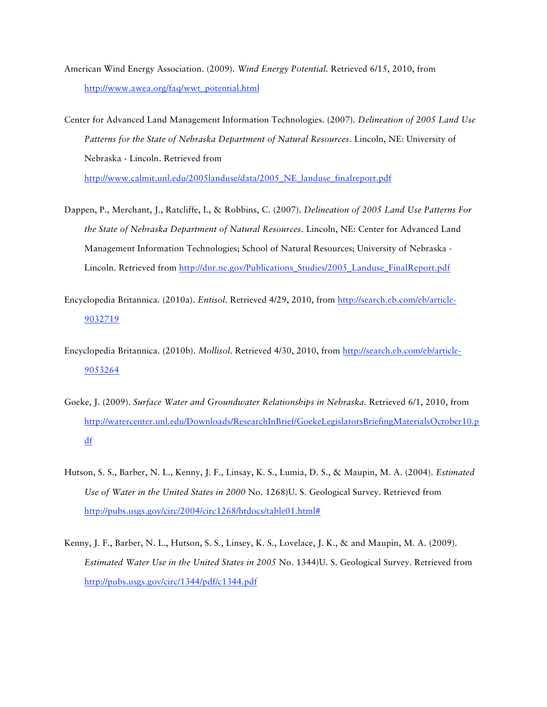- American Wind Energy Association. (2009). *Wind Energy Potential.* Retrieved 6/15, 2010, from http://www.awea.org/faq/wwt\_potential.html
- Center for Advanced Land Management Information Technologies. (2007). *Delineation of 2005 Land Use Patterns for the State of Nebraska Department of Natural Resources*. Lincoln, NE: University of Nebraska - Lincoln. Retrieved from

http://www.calmit.unl.edu/2005landuse/data/2005\_NE\_landuse\_finalreport.pdf

- Dappen, P., Merchant, J., Ratcliffe, I., & Robbins, C. (2007). *Delineation of 2005 Land Use Patterns For the State of Nebraska Department of Natural Resources*. Lincoln, NE: Center for Advanced Land Management Information Technologies; School of Natural Resources; University of Nebraska - Lincoln. Retrieved from http://dnr.ne.gov/Publications\_Studies/2005\_Landuse\_FinalReport.pdf
- Encyclopedia Britannica. (2010a). *Entisol.* Retrieved 4/29, 2010, from http://search.eb.com/eb/article-9032719
- Encyclopedia Britannica. (2010b). *Mollisol.* Retrieved 4/30, 2010, from http://search.eb.com/eb/article-9053264
- Goeke, J. (2009). *Surface Water and Groundwater Relationships in Nebraska.* Retrieved 6/1, 2010, from http://watercenter.unl.edu/Downloads/ResearchInBrief/GoekeLegislatorsBriefingMaterialsOctober10.p df
- Hutson, S. S., Barber, N. L., Kenny, J. F., Linsay, K. S., Lumia, D. S., & Maupin, M. A. (2004). *Estimated Use of Water in the United States in 2000* No. 1268)U. S. Geological Survey. Retrieved from http://pubs.usgs.gov/circ/2004/circ1268/htdocs/table01.html#
- Kenny, J. F., Barber, N. L., Hutson, S. S., Linsey, K. S., Lovelace, J. K., & and Maupin, M. A. (2009). *Estimated Water Use in the United States in 2005* No. 1344)U. S. Geological Survey. Retrieved from http://pubs.usgs.gov/circ/1344/pdf/c1344.pdf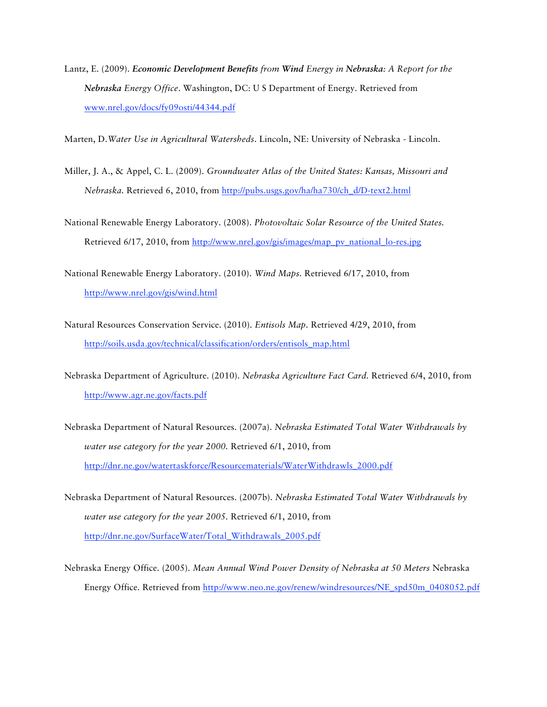Lantz, E. (2009). *Economic Development Benefits from Wind Energy in Nebraska: A Report for the Nebraska Energy Office*. Washington, DC: U S Department of Energy. Retrieved from www.nrel.gov/docs/fy09osti/44344.pdf

Marten, D.*Water Use in Agricultural Watersheds*. Lincoln, NE: University of Nebraska - Lincoln.

- Miller, J. A., & Appel, C. L. (2009). *Groundwater Atlas of the United States: Kansas, Missouri and Nebraska.* Retrieved 6, 2010, from http://pubs.usgs.gov/ha/ha730/ch\_d/D-text2.html
- National Renewable Energy Laboratory. (2008). *Photovoltaic Solar Resource of the United States.* Retrieved 6/17, 2010, from http://www.nrel.gov/gis/images/map\_pv\_national\_lo-res.jpg
- National Renewable Energy Laboratory. (2010). *Wind Maps.* Retrieved 6/17, 2010, from http://www.nrel.gov/gis/wind.html
- Natural Resources Conservation Service. (2010). *Entisols Map.* Retrieved 4/29, 2010, from http://soils.usda.gov/technical/classification/orders/entisols\_map.html
- Nebraska Department of Agriculture. (2010). *Nebraska Agriculture Fact Card.* Retrieved 6/4, 2010, from http://www.agr.ne.gov/facts.pdf
- Nebraska Department of Natural Resources. (2007a). *Nebraska Estimated Total Water Withdrawals by water use category for the year 2000.* Retrieved 6/1, 2010, from http://dnr.ne.gov/watertaskforce/Resourcematerials/WaterWithdrawls\_2000.pdf
- Nebraska Department of Natural Resources. (2007b). *Nebraska Estimated Total Water Withdrawals by water use category for the year 2005.* Retrieved 6/1, 2010, from http://dnr.ne.gov/SurfaceWater/Total\_Withdrawals\_2005.pdf
- Nebraska Energy Office. (2005). *Mean Annual Wind Power Density of Nebraska at 50 Meters* Nebraska Energy Office. Retrieved from http://www.neo.ne.gov/renew/windresources/NE\_spd50m\_0408052.pdf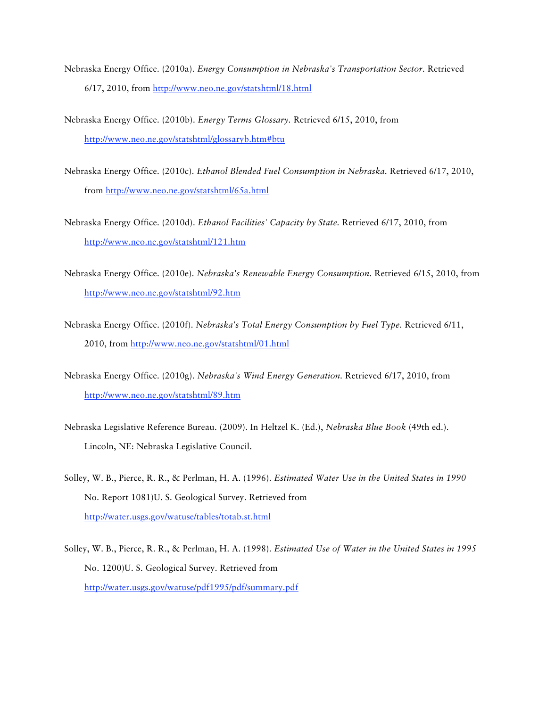- Nebraska Energy Office. (2010a). *Energy Consumption in Nebraska's Transportation Sector.* Retrieved 6/17, 2010, from http://www.neo.ne.gov/statshtml/18.html
- Nebraska Energy Office. (2010b). *Energy Terms Glossary.* Retrieved 6/15, 2010, from http://www.neo.ne.gov/statshtml/glossaryb.htm#btu
- Nebraska Energy Office. (2010c). *Ethanol Blended Fuel Consumption in Nebraska.* Retrieved 6/17, 2010, from http://www.neo.ne.gov/statshtml/65a.html
- Nebraska Energy Office. (2010d). *Ethanol Facilities' Capacity by State.* Retrieved 6/17, 2010, from http://www.neo.ne.gov/statshtml/121.htm
- Nebraska Energy Office. (2010e). *Nebraska's Renewable Energy Consumption.* Retrieved 6/15, 2010, from http://www.neo.ne.gov/statshtml/92.htm
- Nebraska Energy Office. (2010f). *Nebraska's Total Energy Consumption by Fuel Type.* Retrieved 6/11, 2010, from http://www.neo.ne.gov/statshtml/01.html
- Nebraska Energy Office. (2010g). *Nebraska's Wind Energy Generation.* Retrieved 6/17, 2010, from http://www.neo.ne.gov/statshtml/89.htm
- Nebraska Legislative Reference Bureau. (2009). In Heltzel K. (Ed.), *Nebraska Blue Book* (49th ed.). Lincoln, NE: Nebraska Legislative Council.
- Solley, W. B., Pierce, R. R., & Perlman, H. A. (1996). *Estimated Water Use in the United States in 1990* No. Report 1081)U. S. Geological Survey. Retrieved from http://water.usgs.gov/watuse/tables/totab.st.html
- Solley, W. B., Pierce, R. R., & Perlman, H. A. (1998). *Estimated Use of Water in the United States in 1995* No. 1200)U. S. Geological Survey. Retrieved from http://water.usgs.gov/watuse/pdf1995/pdf/summary.pdf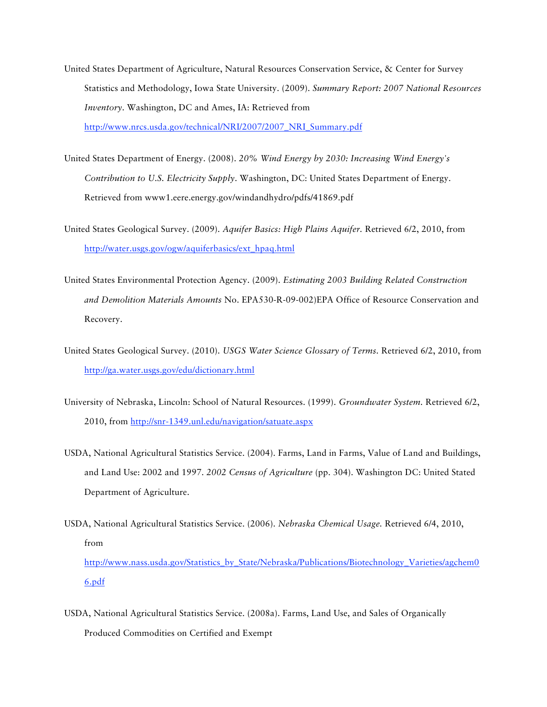- United States Department of Agriculture, Natural Resources Conservation Service, & Center for Survey Statistics and Methodology, Iowa State University. (2009). *Summary Report: 2007 National Resources Inventory*. Washington, DC and Ames, IA: Retrieved from http://www.nrcs.usda.gov/technical/NRI/2007/2007\_NRI\_Summary.pdf
- United States Department of Energy. (2008). *20% Wind Energy by 2030: Increasing Wind Energy's Contribution to U.S. Electricity Supply*. Washington, DC: United States Department of Energy. Retrieved from www1.eere.energy.gov/windandhydro/pdfs/41869.pdf
- United States Geological Survey. (2009). *Aquifer Basics: High Plains Aquifer.* Retrieved 6/2, 2010, from http://water.usgs.gov/ogw/aquiferbasics/ext\_hpaq.html
- United States Environmental Protection Agency. (2009). *Estimating 2003 Building Related Construction and Demolition Materials Amounts* No. EPA530-R-09-002)EPA Office of Resource Conservation and Recovery.
- United States Geological Survey. (2010). *USGS Water Science Glossary of Terms.* Retrieved 6/2, 2010, from http://ga.water.usgs.gov/edu/dictionary.html
- University of Nebraska, Lincoln: School of Natural Resources. (1999). *Groundwater System.* Retrieved 6/2, 2010, from http://snr-1349.unl.edu/navigation/satuate.aspx
- USDA, National Agricultural Statistics Service. (2004). Farms, Land in Farms, Value of Land and Buildings, and Land Use: 2002 and 1997. *2002 Census of Agriculture* (pp. 304). Washington DC: United Stated Department of Agriculture.
- USDA, National Agricultural Statistics Service. (2006). *Nebraska Chemical Usage.* Retrieved 6/4, 2010, from http://www.nass.usda.gov/Statistics\_by\_State/Nebraska/Publications/Biotechnology\_Varieties/agchem0 6.pdf
- USDA, National Agricultural Statistics Service. (2008a). Farms, Land Use, and Sales of Organically Produced Commodities on Certified and Exempt